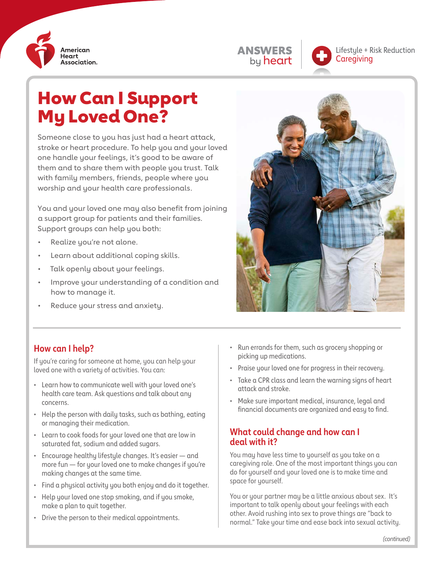

| <b>ANSWERS</b> |
|----------------|
| by heart       |

Lifestyle + Risk Reduction **Caregiving** 

# How Can I Support My Loved One?

Someone close to you has just had a heart attack, stroke or heart procedure. To help you and your loved one handle your feelings, it's good to be aware of them and to share them with people you trust. Talk with family members, friends, people where you worship and your health care professionals.

You and your loved one may also benefit from joining a support group for patients and their families. Support groups can help you both:

- Realize you're not alone.
- Learn about additional coping skills.
- Talk openly about your feelings.
- Improve your understanding of a condition and how to manage it.
- Reduce your stress and anxiety.



# **How can I help?**

If you're caring for someone at home, you can help your loved one with a variety of activities. You can:

- Learn how to communicate well with your loved one's health care team. Ask questions and talk about any concerns.
- Help the person with daily tasks, such as bathing, eating or managing their medication.
- Learn to cook foods for your loved one that are low in saturated fat, sodium and added sugars.
- Encourage healthy lifestyle changes. It's easier and more fun — for your loved one to make changes if you're making changes at the same time.
- Find a physical activity you both enjoy and do it together.
- Help your loved one stop smoking, and if you smoke, make a plan to quit together.
- Drive the person to their medical appointments.
- Run errands for them, such as grocery shopping or picking up medications.
- Praise your loved one for progress in their recovery.
- Take a CPR class and learn the warning signs of heart attack and stroke.
- Make sure important medical, insurance, legal and financial documents are organized and easy to find.

#### **What could change and how can I deal with it?**

You may have less time to yourself as you take on a caregiving role. One of the most important things you can do for yourself and your loved one is to make time and space for yourself.

You or your partner may be a little anxious about sex. It's important to talk openly about your feelings with each other. Avoid rushing into sex to prove things are "back to normal." Take your time and ease back into sexual activity.